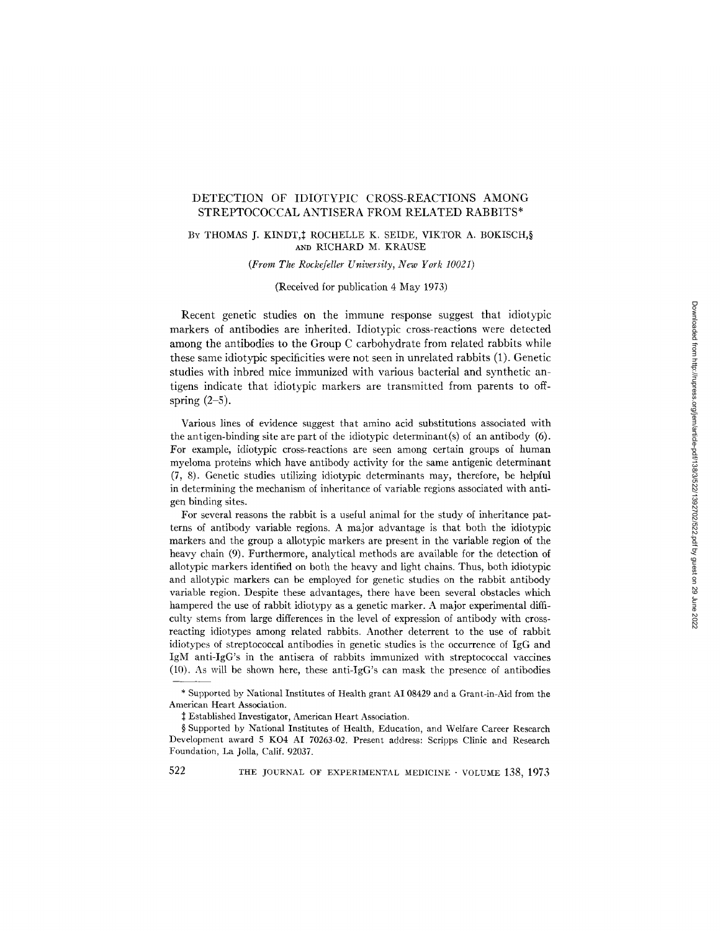# DETECTION OF IDIOTYPIC CROSS-REACTIONS AMONG STREPTOCOCCAL ANTISERA FROM RELATED RABBITS\*

## BY THOMAS J. KINDT, ‡ROCHELLE K. SEIDE, VIKTOR A. BOKISCH, § AND RICHARD M. KRAUSE

*(From The Rockefeller University, New York 10021)* 

## (Received for publication 4 May 1973)

Recent genetic studies on the immune response suggest that idiotypic markers of antibodies are inherited. Idiotypic cross-reactions were detected among the antibodies to the Group C carbohydrate from related rabbits while these same idiotypic specificities were not seen in unrelated rabbits (1). Genetic studies with inbred mice immunized with various bacterial and synthetic antigens indicate that idiotypic markers are transmitted from parents to offspring  $(2-5)$ .

Various lines of evidence suggest that amino acid substitutions associated with the antigen-binding site are part of the idiotypic determinant(s) of an antibody (6). For example, idiotypic cross-reactions are seen among certain groups of human myeloma proteins which have antibody activity for the same antigenic determinant (7, 8). Genetic studies utilizing idiotypic determinants may, therefore, be helpful in determining the mechanism of inheritance of variable regions associated with antigen binding sites.

For several reasons the rabbit is a useful animal for the study of inheritance patterns of antibody variable regions. A major advantage is that both the idiotypic markers and the group a aliotypic markers are present in the variable region of the heavy chain (9). Furthermore, analytical methods are available for the detection of allotypic markers identified on both the heavy and light chains. Thus, both idiotypic and allotypic markers can be employed for genetic studies on the rabbit antibody variable region. Despite these advantages, there have been several obstacles which hampered the use of rabbit idiotypy as a genetic marker. A major experimental difficulty stems from large differences in the level of expression of antibody with crossreacting idiotypes among related rabbits. Another deterrent to the use of rabbit idiotypes of streptococcal antibodies in genetic studies is the occurrence of IgG and IgM anti-IgG's in the antisera of rabbits immunized with streptococcal vaccines (10). As will be shown here, these anti-IgG's can mask the presence of antibodies

<sup>\*</sup> Supported by National Institutes of Health grant AI 08429 and a Grant-in-Aid from the American Heart Association.

Established Investigator, American Heart Association.

<sup>§</sup> Supported by National Institutes of Health, Education, and Welfare Career Research Development award 5 KO4 AI 70263-02. Present address: Scripps Clinic and Research Foundation, La Jolla, Calif. 92037.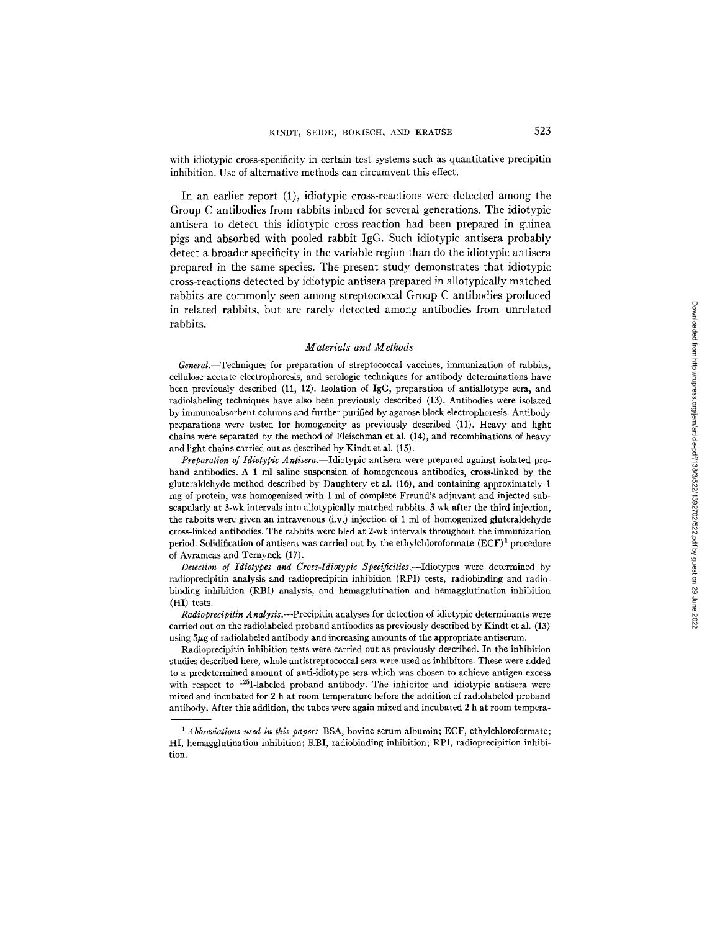with idiotypic cross-specificity in certain test systems such as quantitative precipitin inhibition. Use of alternative methods can circumvent this effect.

In an earlier report (1), idiotypic cross-reactions were detected among the Group C antibodies from rabbits inbred for several generations. The idiotypic antisera to detect this idiotypic cross-reaction had been prepared in guinea pigs and absorbed with pooled rabbit IgG. Such idiotypic antisera probably detect a broader specificity in the variable region than do the idiotypic antisera prepared in the same species. The present study demonstrates that idiotypic cross-reactions detected by idiotypic antisera prepared in allotypically matched rabbits are commonly seen among streptococcal Group C antibodies produced in related rabbits, but are rarely detected among antibodies from unrelated rabbits.

#### *Materials and Methods*

*General.--Techniques* for preparation of streptococcal vaccines, immunization of rabbits, cellulose acetate electrophoresis, and serologic techniques for antibody determinations have been previously described (11, 12). Isolation of IgG, preparation of antiallotype sera, and radiolabeling techniques have also been previously described (13). Antibodies were isolated by immunoabsorbent columns and further purified by agarose block electrophoresis. Antibody preparations were tested for homogeneity as previously described (11). Heavy and light chains were separated by the method of Fleischman et al. (14), and recombinations of heavy and light chains carried out as described by Kindt et al. (15).

*Preparation of Idiotypic Antisera.--Idiotypic* antisera were prepared against isolated proband antibodies. A 1 ml saline suspension of homogeneous antibodies, cross-linked by the gluteraldehyde method described by Daughtery et al. (16), and containing approximately 1 mg of protein, was homogenized with 1 ml of complete Freuud's adjuvant and injected subscapularly at 3-wk intervals into allotypically matched rabbits. 3 wk after the third injection, the rabbits were given an intravenous (i.v.) injection of 1 ml of homogenized gluteraldehyde cross-linked antibodies. The rabbits were bled at 2-wk intervals throughout the immunization period. Solidification of antisera was carried out by the ethylchloroformate  $(ECF)^1$  procedure of Avrameas and Ternynck (17).

*Detection of Idiotypes and Cross-Idiotypic Specificities.--Idiotypes* were determined by radioprecipitin analysis and radioprecipitin inhibition (RPI) tests, radiobinding and radiobinding inhibition (RBI) analysis, and hemagglutination and hemagglutination inhibition (HI) tests.

*Radioprecipitin Analysis.--Precipitin* analyses for detection of idiotypic determinants were carried out on the radiolabeled proband antibodies as previously described by Kindt et al. (13) using 5  $\mu$ g of radiolabeled antibody and increasing amounts of the appropriate antiserum.

Radioprecipitin inhibition tests were carried out as previously described. In the inhibition studies described here, whole antistreptococcal sera were used as inhibitors. These were added to a predetermined amount of anfi-idiotype sera which was chosen to achieve antigen excess with respect to  $125I$ -labeled proband antibody. The inhibitor and idiotypic antisera were mixed and incubated for 2 h at room temperature before the addition of radiolabeled proband antibody. After this addition, the tubes were again mixed and incubated 2 h at room tempera-

*<sup>1</sup> Abbreviations used in this paper:* BSA, bovine serum albumin; ECF, ethylchloroformate; HI, hemagglutination inhibition; RBI, radiobinding inhibition; RPI, radioprecipition inhibition.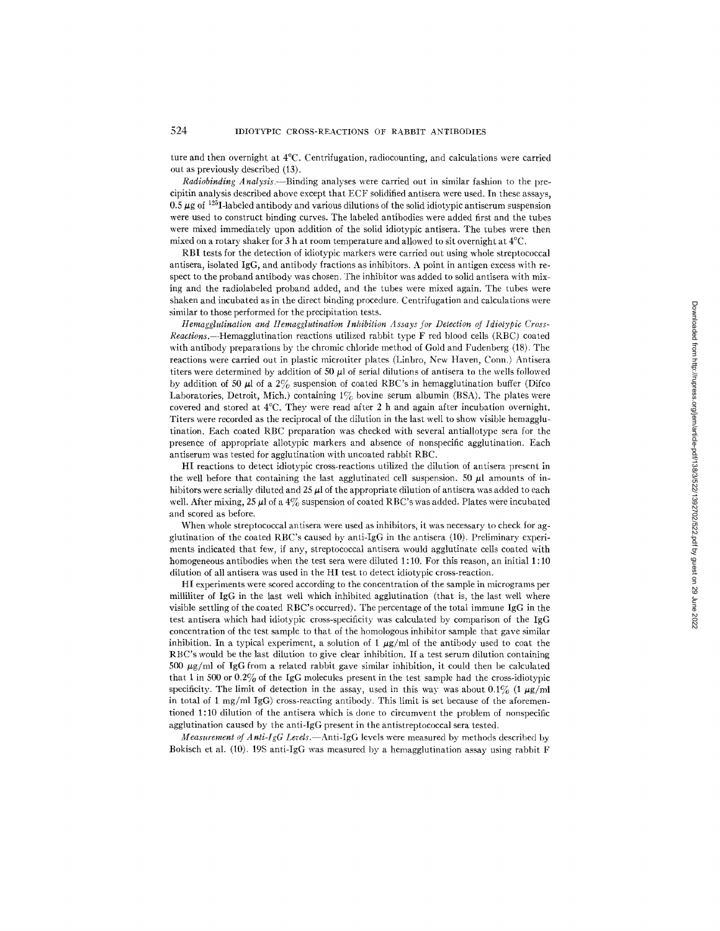ture and then overnight at 4°C. Centrifugation, radiocounting, and calculations were carried out as previously described (13).

*Radiobinding Analysis.*---Binding analyses were carried out in similar fashion to the precipitin analysis described above except that ECF solidified antisera were used. In these assays, 0.5  $\mu$ g of <sup>125</sup>I-labeled antibody and various dilutions of the solid idiotypic antiserum suspension were used to construct binding curves. The labeled antibodies were added first and the tubes were mixed immediately upon addition of the solid idiotypic antisera. The tubes were then mixed on a rotary shaker for 3 h at room temperature and allowed to sit overnight at 4°C.

RBI tests for the detection of idiotypic markers were carried out using whole streptococcal antisera, isolated IgG, and antibody fractions as inhibitors. A point in antigen excess with respect to the proband antibody was chosen. The inhibitor was added to solid antisera with mixing and the radiolabeled proband added, and the tubes were mixed again. The tubes were shaken and incubated as in the direct binding procedure. Centrifugation and calculations were similar to those performed for the precipitation tests.

*Hemagglutinalion and Hemagglutination Inhibition Assays for Detection of Idiotypic Cross-Reactlons.--Hemagglutination* reactions utilized rabbit type F red blood cells (RBC) coated with antibody preparations by the chromic chloride method of Gold and Fudenberg (18). The reactions were carried out in plastic microtiter plates (Linbro, New Haven, Conn.) Antisera titers were determined by addition of 50  $\mu$ l of serial dilutions of antisera to the wells followed by addition of 50  $\mu$ l of a 2% suspension of coated RBC's in hemagglutination buffer (Difco Laboratories, Detroit, Mich.) containing  $1\%$  bovine serum albumin (BSA). The plates were covered and stored at 4°C. They were read after 2 h and again after incubation overnight. Titers were recorded as the reciprocal of the dilution in the last well to show visible hemagglutination. Each coated RBC preparation was checked with several antiallotype sera for the presence of appropriate allotypic markers and absence of nonspecific agglutination. Each antiserum was tested for agglutination with uncoated rabbit RBC.

HI reactions to detect idiotypic cross-reactions utilized the dilution of antisera present in the well before that containing the last agglutinated cell suspension. 50  $\mu$ l amounts of inhibitors were serially diluted and  $25 \mu$  of the appropriate dilution of antisera was added to each well. After mixing, 25  $\mu$ l of a 4% suspension of coated RBC's was added. Plates were incubated and scored as before.

When whole streptococcal antisera were used as inhibitors, it was necessary to check for agglutination of the coated RBC's caused by anti-IgG in the antisera (10). Preliminary experiments indicated that few, if any, streptococcal antisera would agglutinate cells coated with homogeneous antibodies when the test sera were diluted 1:10. For this reason, an initial 1:10 dilution of all antisera was used in the HI test to detect idiotypic cross-reaction.

HI experiments were scored according to the concentration of the sample in micrograms per milliliter of IgG in the last well which inhibited agglutination (that is, the last well where visible settling of the coated RBC's occurred). The percentage of the total immune IgG in the test antisera which had idiotypic cross-specificity was calculated by comparison of the IgG concentration of the test sample to that of the homologous inhibitor sample that gave similar inhibition. In a typical experiment, a solution of 1  $\mu$ g/ml of the antibody used to coat the RBC's would be the last dilution to give clear inhibition. If a test serum dilution containing 500  $\mu$ g/ml of IgG from a related rabbit gave similar inhibition, it could then be calculated that 1 in 500 or  $0.2\%$  of the IgG molecules present in the test sample had the cross-idiotypic specificity. The limit of detection in the assay, used in this way was about 0.1% (1  $\mu$ g/ml in total of 1 mg/ml IgG) cross-reacting antibody. This limit is set because of the aforementioned 1:10 dilution of the antisera which is done to circumvent the problem of nonspecific agglutination caused by the anti-IgG present in the antistreptocoecal sera tested.

*Measurement of A nli-IgG Levels.* Anti-IgG levels were measured by methods described by Bokisch et al. (10). 19S anti-IgG was measured by a hemagglutination assay using rabbit F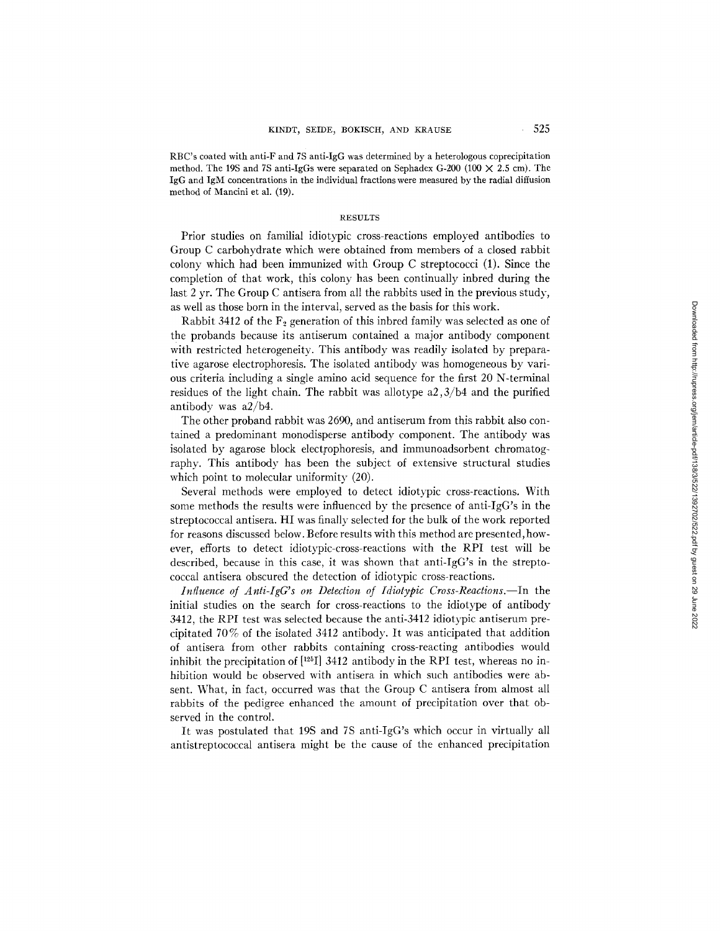RBC's coated with anti-F and 7S anti-IgG was determined by a heterologous coprecipitation method. The 19S and 7S anti-IgGs were separated on Sephadex G-200 (100  $\times$  2.5 cm). The IgG and IgM concentrations in the individual fractions were measured by the radial diffusion method of Mancini et al. (19).

### RESULTS

Prior studies on familial idiotypic cross-reactions employed antibodies to Group C carbohydrate which were obtained from members of a closed rabbit colony which had been immunized with Group C streptococci (1). Since the completion of that work, this colony has been continually inbred during the last 2 yr. The Group C antisera from all the rabbits used in the previous study, as well as those born in the interval, served as the basis for this work.

Rabbit 3412 of the  $F_2$  generation of this inbred family was selected as one of the probands because its antiserum contained a major antibody component with restricted heterogeneity. This antibody was readily isolated by preparative agarose electrophoresis. The isolated antibody was homogeneous by various criteria including a single amino acid sequence for the first 20 N-terminal residues of the light chain. The rabbit was allotype  $a2,3/b4$  and the purified antibody was a2/b4.

The other proband rabbit was 2690, and antiserum from this rabbit also contained a predominant monodisperse antibody component. The antibody was isolated by agarose block electrophoresis, and immunoadsorbent chromatography. This antibody has been the subject of extensive structural studies which point to molecular uniformity  $(20)$ .

Several methods were employed to detect idiotypic cross-reactions. With some methods the results were influenced by the presence of anti-IgG's in the streptococcal antisera. HI was finally selected for the bulk of the work reported for reasons discussed below. Before results with this method are presented, however, efforts to detect idiotypic-cross-reactions with the RPI test will be described, because in this case, it was shown that anti-IgG's in the streptococcal antisera obscured the detection of idiotypic cross-reactions.

*Influence of Anti-IgG's on Detection of Idiotypic Cross-Reactions.*—In the initial studies on the search for cross-reactions to the idiotype of antibody 3412, the RPI test was selected because the anti-3412 idiotypic antiserum precipitated 70% of the isolated 3412 antibody. It was anticipated that addition of antisera from other rabbits containing cross-reacting antibodies would inhibit the precipitation of  $[^{125}]$  3412 antibody in the RPI test, whereas no inhibition would be observed with antisera in which such antibodies were absent. What, in fact, occurred was that the Group C antisera from almost all rabbits of the pedigree enhanced the amount of precipitation over that observed in the control.

It was postulated that 19S and 7S anti-IgG's which occur in virtually all antistreptococcal antisera might be the cause of the enhanced precipitation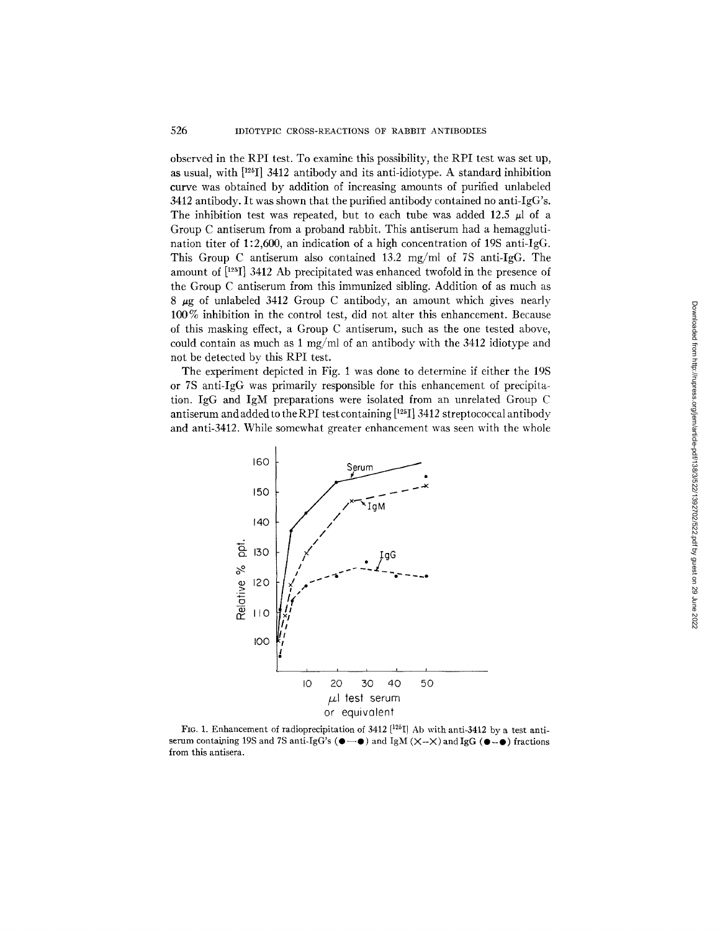observed in the RPI test. To examine this possibility, the RPI test was set up, as usual, with [125I] 3412 antibody and its anti-idiotype. A standard inhibition curve was obtained by addition of increasing amounts of purified unlabeled 3412 antibody. It was shown that the purified antibody contained no anti-IgG's. The inhibition test was repeated, but to each tube was added 12.5  $\mu$ l of a Group C antiserum from a proband rabbit. This antiserum had a hemagglutination titer of 1:2,600, an indication of a high concentration of 19S anti-IgG. This Group C antiserum also contained 13.2 mg/ml of 7S anti-IgG. The amount of [125] 3412 Ab precipitated was enhanced twofold in the presence of the Group C antiserum from this immunized sibling. Addition of as much as  $8 \mu$ g of unlabeled 3412 Group C antibody, an amount which gives nearly 100% inhibition in the control test, did not alter this enhancement. Because of this masking effect, a Group C antiserum, such as the one tested above, could contain as much as 1 mg/ml of an antibody with the 3412 idiotype and not be detected by this RPI test.

The experiment depicted in Fig. 1 was done to determine if either the 19S or 7S anti-IgG was primarily responsible for this enhancement of precipitation. IgG and IgM preparations were isolated from an unrelated Group C antiserum and added to the RPI test containing  $[{}^{125}I]$  3412 streptococcal antibody and anti-3412. While somewhat greater enhancement was seen with the whole



FIG. 1. Enhancement of radioprecipitation of 3412  $[125]$  Ab with anti-3412 by a test antiserum containing 19S and 7S anti-IgG's  $(\bullet - \bullet)$  and IgM  $(\times -\times)$  and IgG  $(\bullet - \bullet)$  fractions from this antisera.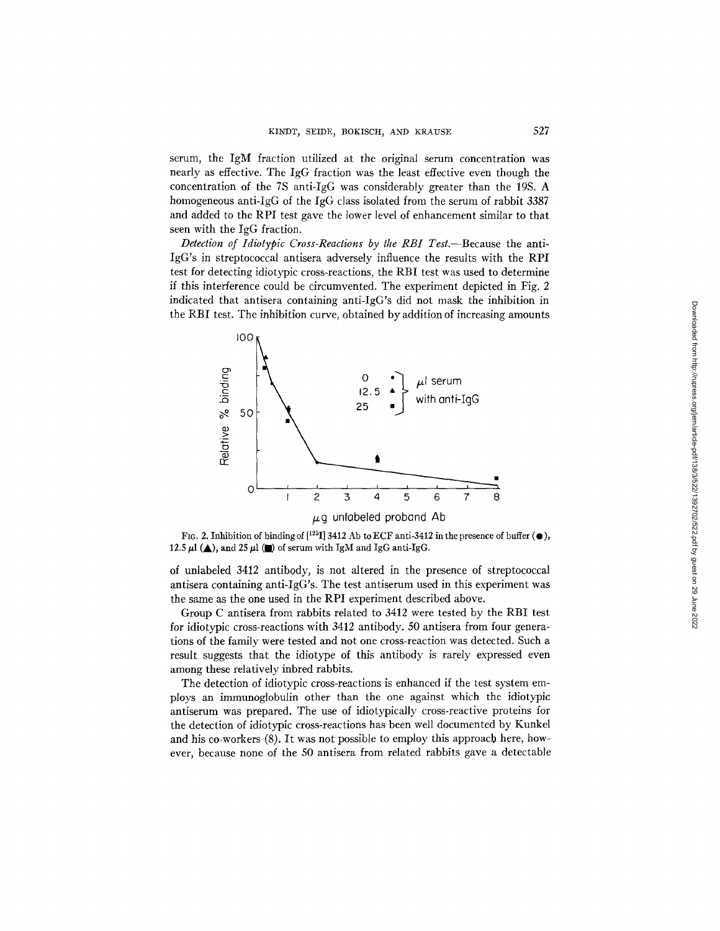serum, the IgM fraction utilized at the original serum concentration was nearly as effective. The IgG fraction was the least effective even though the concentration of the 7S anti-IgG was considerably greater than the 19S. A homogeneous anti-IgG of the IgG class isolated from the serum of rabbit 3387 and added to the RPI test gave the lower level of enhancement similar to that seen with the IgG fraction.

*Detection of Idiotypic Cross-Reactions by the RBI Test.--Because* the anti-IgG's in streptococcal antisera adversely influence the results with the RPI test for detecting idiotypic cross-reactions, the RBI test was used to determine if this interference could be circumvented. The experiment depicted in Fig. 2 indicated that antisera containing anti-IgG's did not mask the inhibition in the RBI test. The inhibition curve, obtained by addition of increasing amounts



FIG. 2. Inhibition of binding of  $[^{125}I]$  3412 Ab to ECF anti-3412 in the presence of buffer ( $\bullet$ ),  $12.5$   $\mu l$   $(\blacktriangle) ,$  and  $25$   $\mu l$   $(\blacksquare)$  of serum with IgM and IgG anti-IgG.

of unlabeled 3412 antibody, is not altered in the presence of streptococcal antisera containing anti-IgG's. The test antiserum used in this experiment was the same as the one used in the RPI experiment described above.

Group C antisera from rabbits related to 3412 were tested by the RBI test for idiotypic cross-reactions with 3412 antibody. 50 antisera from four generations of the family were tested and not one cross-reaction was detected. Such a result suggests that the idiotype of this antibody is rarely expressed even among these relatively inbred rabbits.

The detection of idiotypic cross-reactions is enhanced if the test system employs an immunoglobulin other than the one against which the idiotypic antiserum was prepared. The use of idiotypically cross-reactive proteins for the detection of idiotypic cross-reactions has been well documented by Kunkel and his co-workers (8). It was not possible to employ this approach here, however, because none of the 50 antisera from related rabbits gave a detectable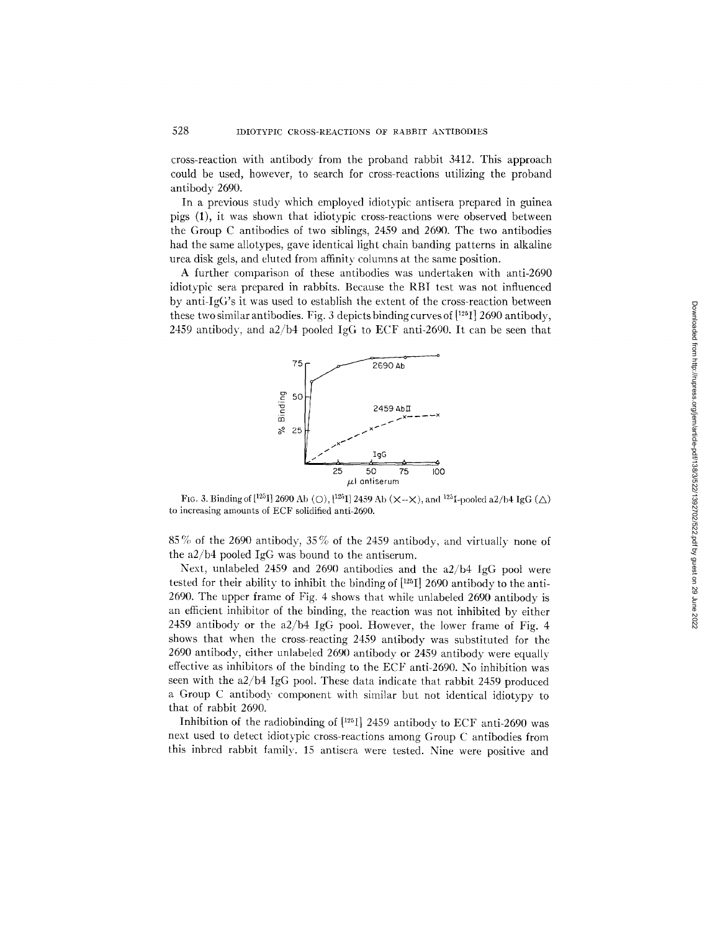cross-reaction with antibody from the proband rabbit 3412. This approach could be used, however, to search for cross-reactions utilizing the proband antibody 2690.

In a previous study which employed idiotypic antisera prepared in guinea pigs (1), it was shown that idiotypic cross-reactions were observed between the Group C antibodies of two siblings, 2459 and 2690. The two antibodies had the same allotypes, gave identical light chain banding patterns in alkaline urea disk gels, and eluted from affinity columns at the same position.

A further comparison of these antibodies was undertaken with anti-2690 idiotypic sera prepared in rabbits. Because the RBI test was not influenced by anti- $IgG$ 's it was used to establish the extent of the cross-reaction between these two similar antibodies. Fig. 3 depicts binding curves of  $[125]$  2690 antibody, 2459 antibody, and a2/b4 pooled IgG to ECF anti-2690. It can be seen that



FIG. 3. Binding of  $[1^{25}I]$  2690 Ab (O),  $[1^{25}I]$  2459 Ab (X--X), and  $1^{25}I$ -pooled a2/b4 IgG ( $\triangle$ ) to increasing amounts of ECF solidified anti-2690.

85 % of the 2690 antibody, 35 % of the 2459 antibody, and virtually none of the a2/b4 pooled IgG was bound to the antiserum.

Next, unlabeled 2459 and 2690 antibodies and the a2/b4 IgG pool were tested for their ability to inhibit the binding of  $[125]$  2690 antibody to the anti-2690. The upper frame of Fig. 4 shows that while unlabeled 2690 antibody is an efficient inhibitor of the binding, the reaction was not inhibited by either 2459 antibody or the a2/b4 IgG pool. However, the lower frame of Fig. 4 shows that when the cross-reacting 2459 antibody was substituted for the 2690 antibody, either unlabeled 2690 antibody or 2459 antibody were equally effective as inhibitors of the binding to the ECF anti-2690. No inhibition was seen with the a2/b4 IgG pool. These data indicate that rabbit 2459 produced a Group C antibody component with similar but not identical idiotypy to that of rabbit 2690.

Inhibition of the radiobinding of  $[125]$  2459 antibody to ECF anti-2690 was next used to detect idiotypic cross-reactions among Group C antibodies from this inbred rabbit family. 15 antisera were tested. Nine were positive and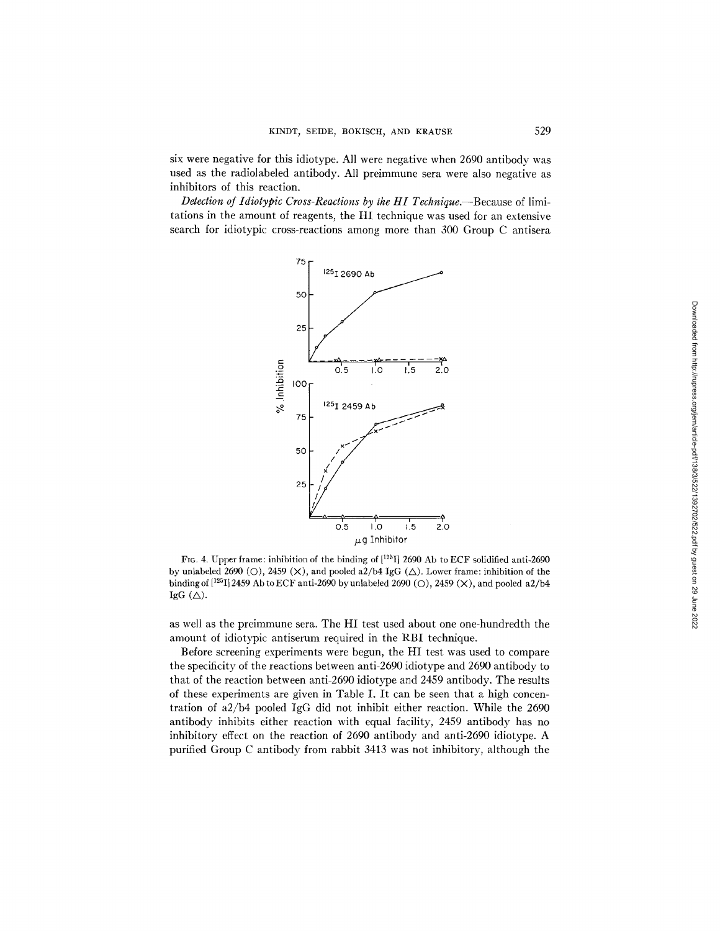six were negative for this idiotype. All were negative when 2690 antibody was used as the radiolabeled antibody. All preimmune sera were also negative as inhibitors of this reaction.

*Detection of Idiotypic Cross-Reactions by the HI Technique.*—Because of limitations in the amount of reagents, the HI technique was used for an extensive search for idiotypic cross-reactions among more than 300 Group C antisera



FIG. 4. Upper frame: inhibition of the binding of  $[1^{25}I]$  2690 Ab to ECF solidified anti-2690 by unlabeled 2690 (O), 2459 (X), and pooled a2/b4 IgG ( $\triangle$ ). Lower frame: inhibition of the binding of  $[1^{25}I]$  2459 Ab to ECF anti-2690 by unlabeled 2690 (O), 2459 (X), and pooled a2/b4 IgG  $(\triangle)$ .

as well as the preimmune sera. The HI test used about one one-hundredth the amount of idiotypic antiserum required in the RBI technique.

Before screening experiments were begun, the HI test was used to compare the specificity of the reactions between anti-2690 idiotype and 2690 antibody to that of the reaction between anti-2690 idiotype and 2459 antibody. The results of these experiments are given in Table I. It can be seen that a high concentration of a2/b4 pooled IgG did not inhibit either reaction. While the 2690 antibody inhibits either reaction with equal facility, 2459 antibody has no inhibitory effect on the reaction of 2690 antibody and anti-2690 idiotype. A purified Group C antibody from rabbit 3413 was not inhibitory, although the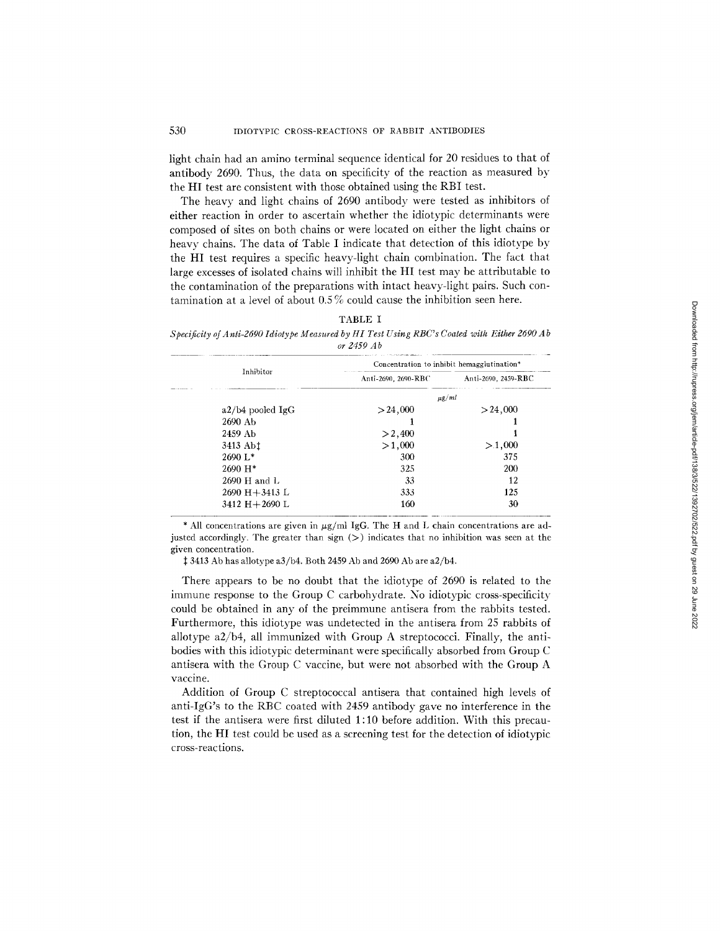light chain had an amino terminal sequence identical for 20 residues to that of antibody 2690. Thus, the data on specificity of the reaction as measured by the HI test are consistent with those obtained using the RBI test.

The heavy and light chains of 2690 antibody were tested as inhibitors of either reaction in order to ascertain whether the idiotypic determinants were composed of sites on both chains or were located on either the light chains or heavy chains. The data of Table I indicate that detection of this idiotype by the HI test requires a specific heavy-light chain combination. The fact that large excesses of isolated chains will inhibit the HI test may be attributable to the contamination of the preparations with intact heavy-light pairs. Such contamination at a level of about  $0.5\%$  could cause the inhibition seen here.

| ARLF |  |
|------|--|
|------|--|

*Specificity of A nti-2690 Idiotype Measured by HI Test Using RBC's Coated with Either 2690 A b or 2459 A b* 

|                      | Concentration to inhibit hemagglutination* |                     |  |
|----------------------|--------------------------------------------|---------------------|--|
| Inhibitor            | Anti-2690, 2690-RBC                        | Anti-2690, 2459-RBC |  |
|                      | $\mu$ g/ml                                 |                     |  |
| $a2/b4$ pooled IgG   | > 24,000                                   | > 24,000            |  |
| 2690 Ab              |                                            |                     |  |
| 2459 Ab              | >2,400                                     |                     |  |
| 3413 Ab <sup>t</sup> | >1,000                                     | >1,000              |  |
| $2690 L*$            | 300                                        | 375                 |  |
| $2690 H*$            | 325                                        | 200                 |  |
| 2690 H and L         | 33                                         | 12                  |  |
| $2690 H + 3413 L$    | 333                                        | 125                 |  |
| 3412 $H+2690$ L      | 160                                        | 30                  |  |

\* All concentrations are given in  $\mu$ g/ml IgG. The H and L chain concentrations are adjusted accordingly. The greater than sign  $(>)$  indicates that no inhibition was seen at the given concentration.

 $\ddagger$  3413 Ab has allotype a3/b4. Both 2459 Ab and 2690 Ab are a2/b4.

There appears to be no doubt that the idiotype of 2690 is related to the immune response to the Group C carbohydrate. No idiotypic cross-specificity could be obtained in any of the preimmune antisera from the rabbits tested. Furthermore, this idiotype was undetected in the antisera from 25 rabbits of allotype a2/b4, all immunized with Group A streptococci. Finally, the antibodies with this idiotypic determinant were specifically absorbed from Group C antisera with the Group C vaccine, but were not absorbed with the Group A vaccine.

Addition of Group C streptococcal antisera that contained high levels of anti-IgG's to the RBC coated with 2459 antibody gave no interference in the test if the antisera were first diluted 1:10 before addition. With this precaution, the HI test could be used as a screening test for the detection of idiotypic cross-reac tions.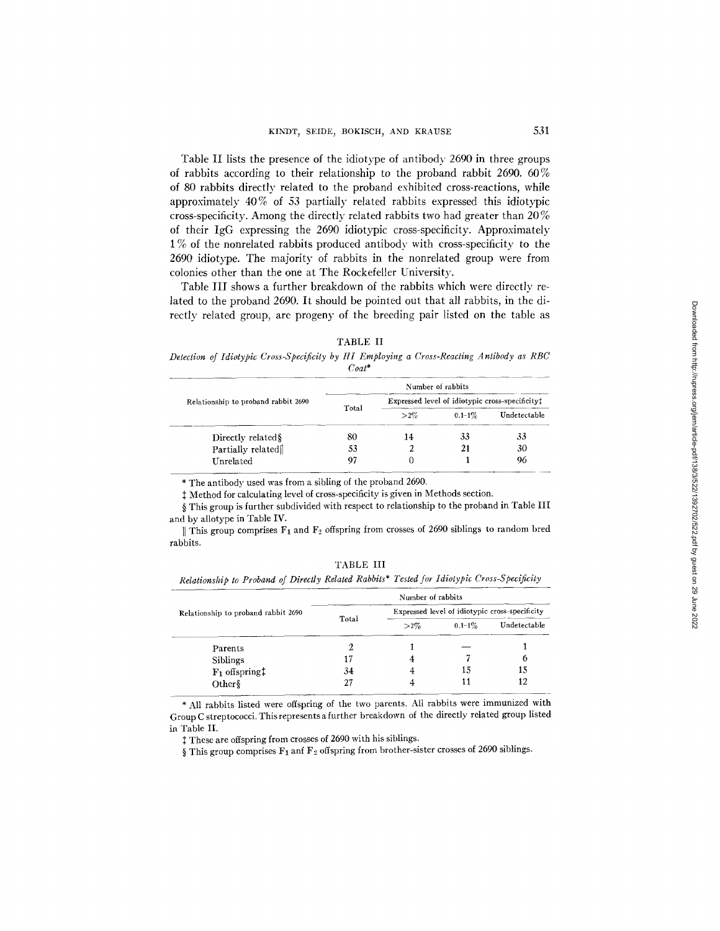Table II lists the presence of the idiotype of antibody 2690 in three groups of rabbits according to their relationship to the proband rabbit 2690. 60% of 80 rabbits directly related to the proband exhibited cross-reactions, while approximately 40% of 53 partially related rabbits expressed this idiotypic cross-specificity. Among the directly related rabbits two had greater than 20 % of their IgG expressing the 2690 idiotypic cross-specificity. Approximately 1% of the nonrelated rabbits produced antibody with cross-specificity to the 2690 idiotype. The majority of rabbits in the nonrelated group were from colonies other than the one at The Rockefeller University.

Table III shows a further breakdown of the rabbits which were directly related to the proband 2690. It should be pointed out that all rabbits, in the directly related group, are progeny of the breeding pair listed on the table as

*Detection of Idiotypic Cross-Specificity by HI Employing a Cross-Reacting Antibody as RBC Coat\** 

| Relationship to proband rabbit 2690 |       |                                                 | Number of rabbits |              |
|-------------------------------------|-------|-------------------------------------------------|-------------------|--------------|
|                                     |       | Expressed level of idiotypic cross-specificity: |                   |              |
|                                     | Total | $>2\%$                                          | $0.1 - 1\%$       | Undetectable |
| Directly related §                  | 80    | 14                                              | 33                | 33           |
| Partially related                   | 53    |                                                 | 21                | 30           |
| Unrelated                           | 97    |                                                 |                   | 96           |

\* The antibody used was from a sibling of the proband 2690.

 $\ddagger$  Method for calculating level of cross-specificity is given in Methods section.

§ This group is further subdivided with respect to relationship to the proband in Table III and by allotype in Table IV.

|| This group comprises  $F_1$  and  $F_2$  offspring from crosses of 2690 siblings to random bred rabbits.

TABLE III

*Relationship to Proband of Directly Related Rabbits\* Tested for Idiotypic Cross-Speclficity* 

| Relationship to proband rabbit 2690 |       | Number of rabbits                              |             |              |
|-------------------------------------|-------|------------------------------------------------|-------------|--------------|
|                                     |       | Expressed level of idiotypic cross-specificity |             |              |
|                                     | Total | $>2\%$                                         | $0.1 - 1\%$ | Undetectable |
| Parents                             |       |                                                |             |              |
| <b>Siblings</b>                     |       |                                                |             | 6            |
| $F_1$ offspring $\ddagger$          | 34    |                                                | 15          | 15           |
| Other                               |       |                                                |             | 12           |

\* All rabbits listed were offspring of the two parents. All rabbits were immunized with Group C streptococci. This represents a further breakdown of the directly related group listed in Table II,

 $\ddagger$  These are offspring from crosses of 2690 with his siblings.

§ This group comprises  $F_1$  anf  $F_2$  offspring from brother-sister crosses of 2690 siblings.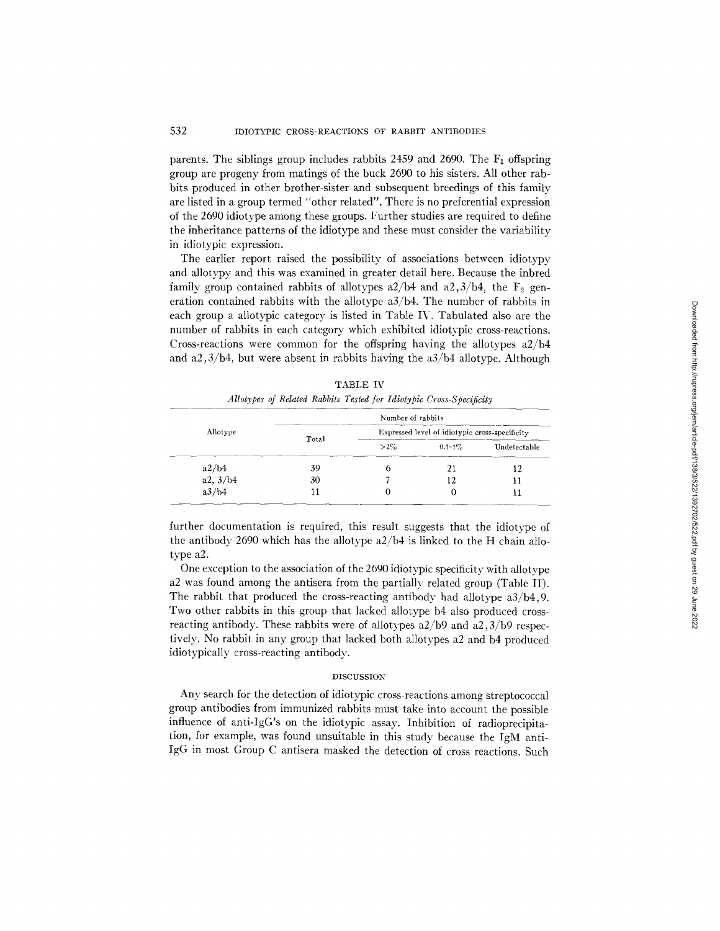parents. The siblings group includes rabbits  $2459$  and  $2690$ . The  $F_1$  offspring group are progeny from matings of the buck 2690 to his sisters. All other rabbits produced in other brother-sister and subsequent breedings of this family are listed in a group termed "other related". There is no preferential expression of the 2690 idiotype among these groups. Further studies are required to define the inheritance patterns of the idiotype and these must consider the variability in idiotypic expression.

The earlier report raised the possibility of associations between idiotypy and allotypy and this was examined in greater detail here. Because the inbred family group contained rabbits of allotypes  $a2/b4$  and  $a2,3/b4$ , the  $F_2$  generation contained rabbits with the allotype  $a3/b4$ . The number of rabbits in each group a allotypic category is listed in Table IV. Tabulated also are the number of rabbits in each category which exhibited idiotypic cross-reactions. Cross-reactions were common for the offspring having the allotypes a2/b4 and a2,3/b4, but were absent in rabbits having the  $a3/b4$  allotype. Although

| Allotype |       | Number of rabbits                              |             |              |
|----------|-------|------------------------------------------------|-------------|--------------|
|          | Total | Expressed level of idiotypic cross-specificity |             |              |
|          |       | $>2\%$                                         | $0.1 - 1\%$ | Undetectable |
| a2/b4    | 39    |                                                | 21          | 12           |
| a2, 3/b4 | 30    |                                                | 12          | 11           |
| a3/b4    |       |                                                |             |              |

TABLE IV *Allotypes of Related Rabbits Tested for Idiotypic Cross-Specificity* 

further documentation is required, this result suggests that the idiotype of the antibody 2690 which has the allotype a2/b4 is linked to the H chain allotype a2.

One exception to the association of the 2690 idiotypic specificity with allotype a2 was found among the antisera from the partially related group (Table II). The rabbit that produced the cross-reacting antibody had allotype a3/b4,9. Two other rabbits in this group that lacked allotype b4 also produced crossreacting antibody. These rabbits were of allotypes a2/b9 and a2,3/b9 respectively. No rabbit in any group that lacked both allotypes a2 and b4 produced idiotypically cross-reacting antibody.

#### DISCUSSION

Any search for the detection of idiotypic cross-reactions among streptococcal group antibodies from immunized rabbits must take into account the possible influence of anti-IgG's on the idiotypic assay. Inhibition of radioprecipitation, for example, was found unsuitable in this study because the IgM anti-IgG in most Group C antisera masked the detection of cross reactions. Such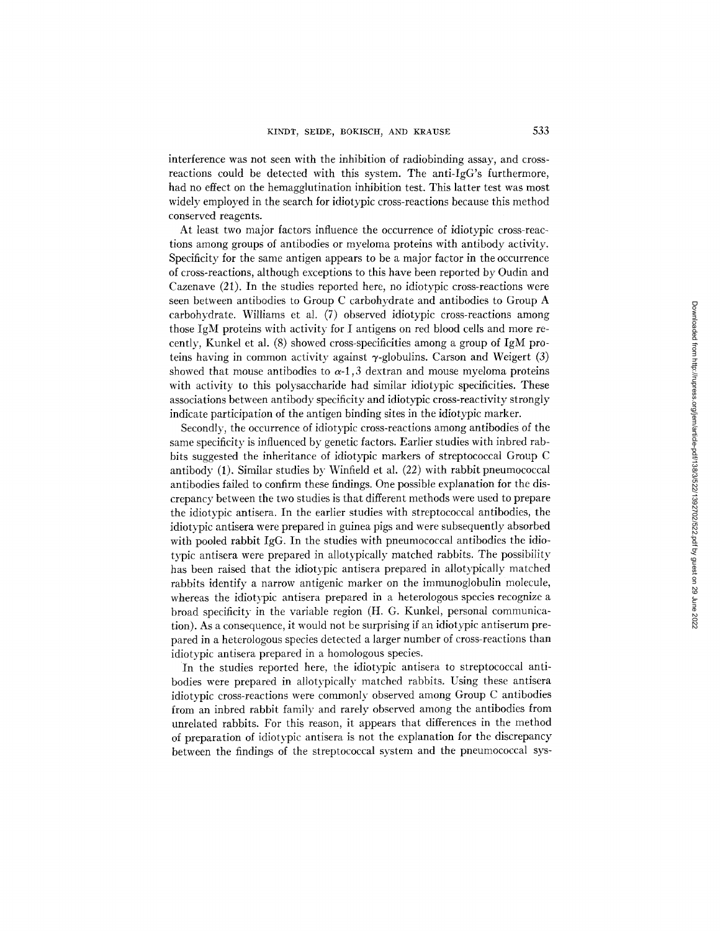interference was not seen with the inhibition of radiobinding assay, and crossreactions could be detected with this system. The anti-IgG's furthermore, had no effect on the hemagglutination inhibition test. This latter test was most widely employed in the search for idiotypic cross-reactions because this method conserved reagents.

At least two major factors influence the occurrence of idiotypic cross-reactions among groups of antibodies or myeloma proteins with antibody activity. Specificity for the same antigen appears to be a major factor in the occurrence of cross-reactions, although exceptions to this have been reported by Oudin and Cazenave (21). In the studies reported here, no idiotypic cross-reactions were seen between antibodies to Group C carbohydrate and antibodies to Group A carbohydrate. Williams et al. (7) observed idiotypic cross-reactions among those IgM proteins with activity for I antigens on red blood cells and more recently, Kunkel et al. (8) showed cross-specificities among a group of IgM proteins having in common activity against  $\gamma$ -globulins. Carson and Weigert (3) showed that mouse antibodies to  $\alpha$ -1,3 dextran and mouse myeloma proteins with activity to this polysaccharide had similar idiotypic specificities. These associations between antibody specificity and idiotypic cross-reactivity strongly indicate participation of the antigen binding sites in the idiotypic marker.

Secondly, the occurrence of idiotypic cross-reactions among antibodies of the same specificity is influenced by genetic factors. Earlier studies with inbred rabbits suggested the inheritance of idiotypic markers of streptococcal Group C antibody (1). Similar studies by Winfield et al. (22) with rabbit pneumococcal antibodies failed to confirm these findings. One possible explanation for the discrepancy between the two studies is that different methods were used to prepare the idiotypic antisera. In the earlier studies with streptococcal antibodies, the idiotypic antisera were prepared in guinea pigs and were subsequently absorbed with pooled rabbit IgG. In the studies with pneumococcal antibodies the idiotypic antisera were prepared in allotypically matched rabbits. The possibility has been raised that the idiotypic antisera prepared in allotypically matched rabbits identify a narrow antigenic marker on the immunoglobulin molecule, whereas the idiotypic antisera prepared in a heterologous species recognize a broad specificity in the variable region (H. G. Kunkel, personal communication). As a consequence, it would not be surprising if an idiotypic antiserum prepared in a heterologous species detected a larger number of cross-reactions than idiotypic antisera prepared in a homologous species.

In the studies reported here, the idiotypic antisera to streptococcal antibodies were prepared in allotypically matched rabbits. Using these antisera idiotypic cross-reactions were commonly observed among Group C antibodies from an inbred rabbit family and rarely observed among the antibodies from unrelated rabbits. For this reason, it appears that differences in the method of preparation of idiotypic antisera is not the explanation for the discrepancy between the findings of the streptococcal system and the pneumococcal sys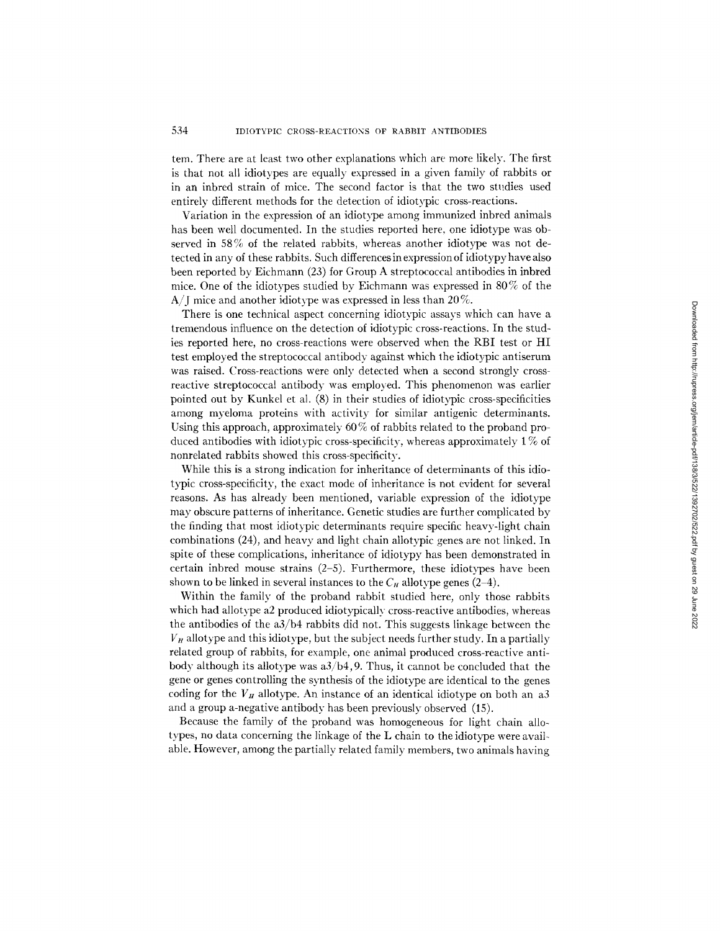tern. There are at least two other explanations which are more likely. The first is that not all idiotypes are equally expressed in a given family of rabbits or in an inbred strain of mice. The second factor is that the two studies used entirely different methods for the detection of idiotypic cross-reactions.

Variation in the expression of an idiotype among immunized inbred animals has been well documented. In the studies reported here, one idiotype was observed in 58% of the related rabbits, whereas another idiotype was not detected in any of these rabbits. Such differences in expression of idiotypy have also been reported by Eichmann (23) for Group A streptococcal antibodies in inbred mice. One of the idiotypes studied by Eichmann was expressed in 80% of the A/J mice and another idiotype was expressed in less than  $20\%$ .

There is one technical aspect concerning idiotypic assays which can have a tremendous influence on the detection of idiotypic cross-reactions. In the studies reported here, no cross-reactions were observed when the RBI test or HI test employed the streptococcal antibody against which the idiotypic antiserum was raised. Cross-reactions were only detected when a second strongly crossreactive streptococcal antibody was employed. This phenomenon was earlier pointed out by Kunkel et al. (8) in their studies of idiotypic cross-specificities among myeloma proteins with activity for similar antigenic determinants. Using this approach, approximately 60% of rabbits related to the proband produced antibodies with idiotypic cross-specificity, whereas approximately  $1\%$  of nonrelated rabbits showed this cross-specificity.

While this is a strong indication for inheritance of determinants of this idiotypic cross-specificity, the exact mode of inheritance is not evident for several reasons. As has already been mentioned, variable expression of the idiotype may obscure patterns of inheritance. Genetic studies are further complicated by the finding that most idiotypic determinants require specific heavy-light chain combinations (24), and heavy and light chain allotypic genes are not linked. In spite of these complications, inheritance of idiotypy has been demonstrated in certain inbred mouse strains  $(2-5)$ . Furthermore, these idiotypes have been shown to be linked in several instances to the  $C_H$  allotype genes (2-4).

Within the family of the proband rabbit studied here, only those rabbits which had allotype a2 produced idiotypically cross-reactive antibodies, whereas the antibodies of the a3/b4 rabbits did not. This suggests linkage between the  $V_H$  allotype and this idiotype, but the subject needs further study. In a partially related group of rabbits, for example, one animal produced cross-reactive antibody although its allotype was  $a3/b4$ , 9. Thus, it cannot be concluded that the gene or genes controlling the synthesis of the idiotype are identical to the genes coding for the  $V_H$  allotype. An instance of an identical idiotype on both an a3 and a group a-negative antibody has been previously observed (15).

Because the family of the proband was homogeneous for light chain allotypes, no data concerning the linkage of the L chain to the idiotype were available. However, among the partially related family members, two animals having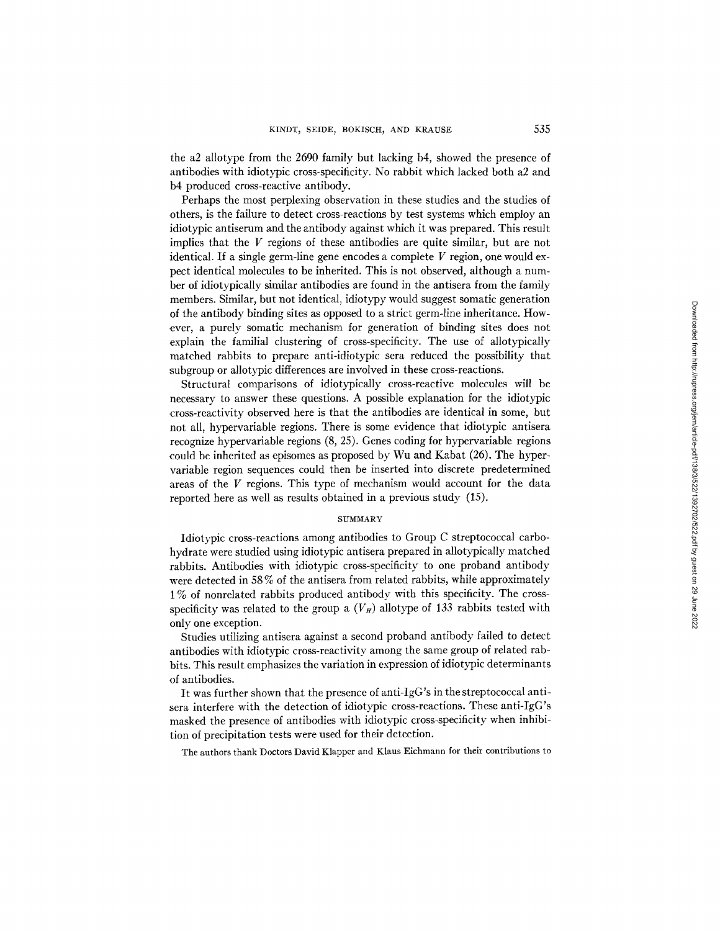the a2 allotype from the 2690 family but lacking b4, showed the presence of antibodies with idiotypic cross-specificity. No rabbit which lacked both a2 and b4 produced cross-reactive antibody.

Perhaps the most perplexing observation in these studies and the studies of others, is the failure to detect cross-reactions by test systems which employ an idiotypic antiserum and the antibody against which it was prepared. This result implies that the V regions of these antibodies are quite similar, but are not identical. If a single germ-line gene encodes a complete  $V$  region, one would expect identical molecules to be inherited. This is not observed, although a number of idiotypically similar antibodies are found in the antisera from the family members. Similar, but not identical, idiotypy would suggest somatic generation of the antibody binding sites as opposed to a strict germ-line inheritance. However, a purely somatic mechanism for generation of binding sites does not explain the familial clustering of cross-specificity. The use of allotypically matched rabbits to prepare anti-idiotypic sera reduced the possibility that subgroup or allotypic differences are involved in these cross-reactions.

Structural comparisons of idiotypically cross-reactive molecules will be necessary to answer these questions. A possible explanation for the idiotypic cross-reactivity observed here is that the antibodies are identical in some, but not all, hypervariable regions. There is some evidence that idiotypic antisera recognize hypervariable regions (8, 25). Genes coding for hypervariable regions could be inherited as episomes as proposed by Wu and Kabat (26). The hypervariable region sequences could then be inserted into discrete predetermined areas of the V regions. This type of mechanism would account for the data reported here as well as results obtained in a previous study (15).

## SUMMARY

Idiotypic cross-reactions among antibodies to Group C streptococcal carbohydrate were studied using idiotypic antisera prepared in allotypically matched rabbits. Antibodies with idiotypic cross-specificity to one proband antibody were detected in 58 % of the antisera from related rabbits, while approximately 1% of nonrelated rabbits produced antibody with this specificity. The crossspecificity was related to the group a  $(V_H)$  allotype of 133 rabbits tested with only one exception.

Studies utilizing antisera against a second proband antibody failed to detect antibodies with idiotypic cross-reactivity among the same group of related rabbits. This result emphasizes the variation in expression of idiotypic determinants of antibodies.

It was further shown that the presence of anti-IgG's in the streptococcal antisera interfere with the detection of idiotypic cross-reactions. These anti-IgG's masked the presence of antibodies with idiotypic cross-specificity when inhibition of precipitation tests were used for their detection.

The authors thank Doctors David Klapper and Klaus Eichmann for their contributions to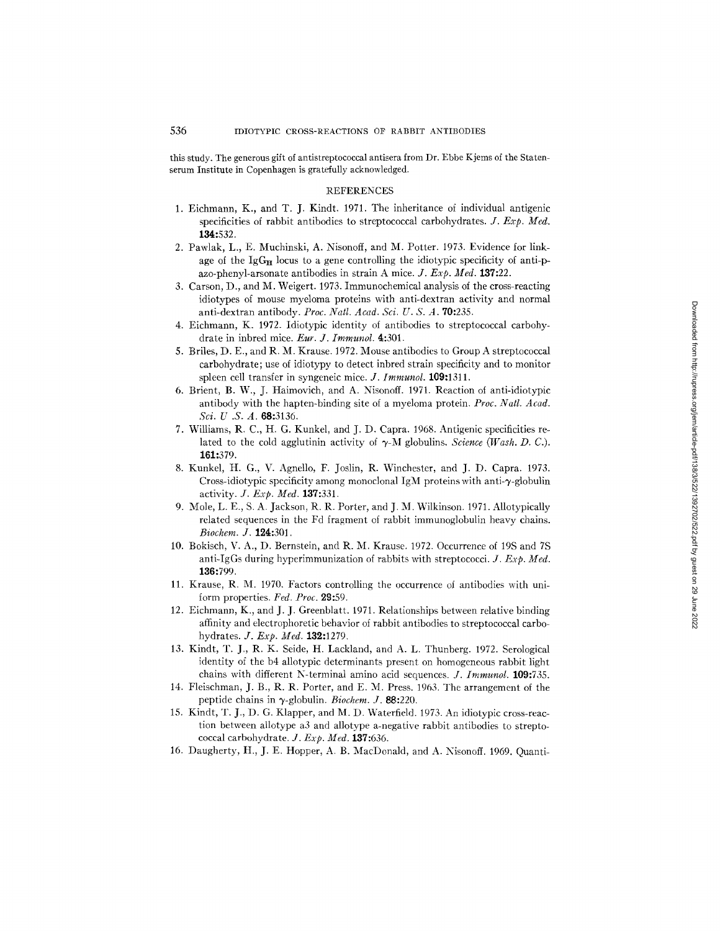this study. The generous gift of antistreptococcal antisera from Dr. Ebbe Kjems of the Statenserum Institute in Copenhagen is gratefully acknowledged.

#### REFERENCES

- 1. Eichmann, K., and T. J. Kindt. 1971. The inheritance of individual antigenic specificities of rabbit antibodies to streptococcal carbohydrates. *J. Exp. Med.* 134:532.
- 2. Pawlak, L., E. Muchinski, A. Nisonoff, and M. Potter. 1973. Evidence for linkage of the  $\lg G_{\rm H}$  locus to a gene controlling the idiotypic specificity of anti-pazo-phenyl-arsonate antibodies in strain A mice. *J. Exp. Meal.* 137:22.
- 3. Carson, D., and M. Weigert. 1973. Immunochemical analysis of the cross-reacting idiotypes of mouse myeloma proteins with anti-dextran activity and normal anti-dextran antibody. *Proc. Natl. Acad. Sci. U. S. A.* 70:235.
- 4. Eichmann, K. 1972. Idiotypic identity of antibodies to streptococcal carbohydrate in inbred mice. *Eur. J. Immunol.* 4:301.
- 5. Briles, D. E., and R. M. Krause. 1972. Mouse antibodies to Group A streptococcal carbohydrate; use of idiotypy to detect inbred strain specificity and to monitor spleen cell transfer in syngeneic mice. *J. Immunol.* 109:1311.
- 6. Brient, B. W., J. Haimovich, and A. Nisonoff. 1971. Reaction of anti-idiotypic antibody with the hapten-binding site of a myeloma protein. *Proc. Natl. Acad. Sci. U.S.A.* 68:3136.
- 7. Williams, R. C., H. G. Kunkel, and J. D. Capra. 1968. Antigenic specificities related to the cold agglutinin activity of  $\gamma$ -M globulins. *Science* (Wash. D. C.). 161:379.
- 8. Kunkel, H. G., V. Agnello, F. Joslin, R. Winchester, and J. D. Capra. 1973. Cross-idiotypic specificity among monoclonal IgM proteins with anti- $\gamma$ -globulin activity. *J. Exp. Med.* 137:331.
- 9. Mole, L. E., S. A. Jackson, R. R. Porter, and J. M. Wilkinson. 1971. Allotypically related sequences in the Fd fragment of rabbit immunoglobulin heavy chains. *Biochem. J.* 124:301.
- 10. Bokisch, V. A., D. Bernstein, and R. M. Krause. 1972. Occurrence of 19S and 7S anti-IgGs during hyperimmunization of rabbits with streptococci. J. *Exp. Med.*  136:799.
- 11. Krause, R. M. 1970. Factors controlling the occurrence of antibodies with uniform properties. Fed. Proc. 29:59.
- 12. Eichmann, K., and J. J. Greenblatt. 1971. Relationships between relative binding affinity and electrophoretic behavior of rabbit antibodies to streptococcal carbohydrates. *J. Exp. Med.* 132:1279.
- 13. Kindt, T. J., R. K. Seide, H. Lackland, and A. L. Thunberg. 1972. Serological identity of the b4 allotypic determinants present on homogeneous rabbit light chains with different N-terminal amino acid sequences. *J. Immunol.* 109:735.
- 14. Fleischman, J. B., R. R. Porter, and E. M. Press. 1963. The arrangement of the peptide chains in  $\gamma$ -globulin. *Biochem. J.* **88:**220.
- 15. Kindt, T. J., D. G. Klapper, and M. D. Waterfield. 1973. An idiotypic cross-reaction between allotype a3 and allotype a-negative rabbit antibodies to streptococcal carbohydrate. *J. Exp. Med.* 137:636.
- 16. Daugherty, H., J. E. Hopper, A. B. MacDonald, and A. Nisonoff. 1969. Quanti-